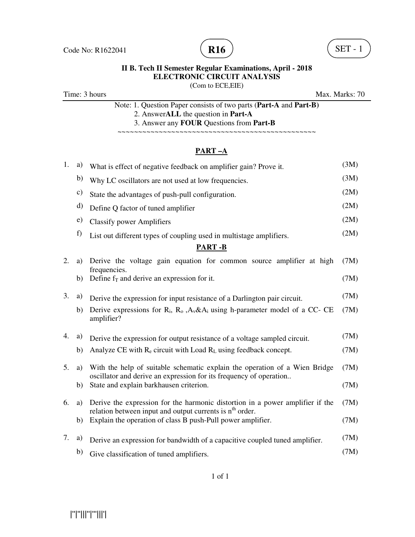



(Com to ECE,EIE)

Time: 3 hours Max. Marks: 70

Note: 1. Question Paper consists of two parts (**Part-A** and **Part-B)** 2. Answer**ALL** the question in **Part-A** 3. Answer any **FOUR** Questions from **Part-B**

~~~~~~~~~~~~~~~~~~~~~~~~~~~~~~~~~~~~~~~~~~~~~~~~

## **PART –A**

| 1. | a)         | What is effect of negative feedback on amplifier gain? Prove it.                                                                                 | (3M) |
|----|------------|--------------------------------------------------------------------------------------------------------------------------------------------------|------|
|    | b)         | Why LC oscillators are not used at low frequencies.                                                                                              | (3M) |
|    | c)         | State the advantages of push-pull configuration.                                                                                                 | (2M) |
|    | d)         | Define Q factor of tuned amplifier                                                                                                               | (2M) |
|    | $\epsilon$ | <b>Classify power Amplifiers</b>                                                                                                                 | (2M) |
|    | f)         | List out different types of coupling used in multistage amplifiers.                                                                              | (2M) |
|    |            | <b>PART-B</b>                                                                                                                                    |      |
| 2. | a)         | Derive the voltage gain equation for common source amplifier at high<br>frequencies.                                                             | (7M) |
|    | b)         | Define $f_T$ and derive an expression for it.                                                                                                    | (7M) |
| 3. | a)         | Derive the expression for input resistance of a Darlington pair circuit.                                                                         | (7M) |
|    | b)         | Derive expressions for $R_i$ , $R_o$ , $A_v & A_i$ using h-parameter model of a CC-CE<br>amplifier?                                              | (7M) |
| 4. | a)         | Derive the expression for output resistance of a voltage sampled circuit.                                                                        | (7M) |
|    | b)         | Analyze CE with $R_e$ circuit with Load $R_L$ using feedback concept.                                                                            | (7M) |
| 5. | a)         | With the help of suitable schematic explain the operation of a Wien Bridge<br>oscillator and derive an expression for its frequency of operation | (7M) |
|    | b)         | State and explain barkhausen criterion.                                                                                                          | (7M) |
| 6. | a)         | Derive the expression for the harmonic distortion in a power amplifier if the                                                                    | (7M) |
|    | b)         | relation between input and output currents is n <sup>th</sup> order.<br>Explain the operation of class B push-Pull power amplifier.              | (7M) |
| 7. | a)         | Derive an expression for bandwidth of a capacitive coupled tuned amplifier.                                                                      | (7M) |
|    | b)         | Give classification of tuned amplifiers.                                                                                                         | (7M) |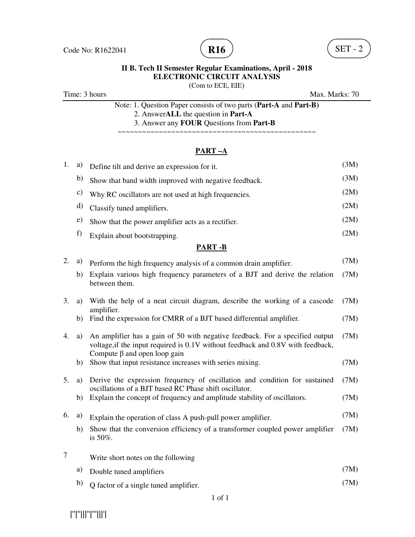

(Com to ECE, EIE)

Time: 3 hours Max. Marks: 70

Note: 1. Question Paper consists of two parts (**Part-A** and **Part-B)** 2. Answer**ALL** the question in **Part-A** 3. Answer any **FOUR** Questions from **Part-B**

~~~~~~~~~~~~~~~~~~~~~~~~~~~~~~~~~~~~~~~~~~~~~~~~

## **PART –A**

| 1. | a)            | Define tilt and derive an expression for it.                                                                                                                                                          | (3M) |
|----|---------------|-------------------------------------------------------------------------------------------------------------------------------------------------------------------------------------------------------|------|
|    | b)            | Show that band width improved with negative feedback.                                                                                                                                                 | (3M) |
|    | $\mathbf{c})$ | Why RC oscillators are not used at high frequencies.                                                                                                                                                  | (2M) |
|    | d)            | Classify tuned amplifiers.                                                                                                                                                                            | (2M) |
|    | e)            | Show that the power amplifier acts as a rectifier.                                                                                                                                                    | (2M) |
|    | f)            | Explain about bootstrapping.                                                                                                                                                                          | (2M) |
|    |               | <b>PART-B</b>                                                                                                                                                                                         |      |
| 2. | a)            | Perform the high frequency analysis of a common drain amplifier.                                                                                                                                      | (7M) |
|    | b)            | Explain various high frequency parameters of a BJT and derive the relation<br>between them.                                                                                                           | (7M) |
| 3. | a)            | With the help of a neat circuit diagram, describe the working of a cascode                                                                                                                            | (7M) |
|    | b)            | amplifier.<br>Find the expression for CMRR of a BJT based differential amplifier.                                                                                                                     | (7M) |
| 4. | a)            | An amplifier has a gain of 50 with negative feedback. For a specified output<br>voltage, if the input required is 0.1V without feedback and 0.8V with feedback,<br>Compute $\beta$ and open loop gain | (7M) |
|    | b)            | Show that input resistance increases with series mixing.                                                                                                                                              | (7M) |
| 5. | a)            | Derive the expression frequency of oscillation and condition for sustained<br>oscillations of a BJT based RC Phase shift oscillator.                                                                  | (7M) |
|    | b)            | Explain the concept of frequency and amplitude stability of oscillators.                                                                                                                              | (7M) |
| 6. | a)            | Explain the operation of class A push-pull power amplifier.                                                                                                                                           | (7M) |
|    | b)            | Show that the conversion efficiency of a transformer coupled power amplifier<br>is $50\%$ .                                                                                                           | (7M) |
| 7  |               | Write short notes on the following                                                                                                                                                                    |      |
|    | a)            | Double tuned amplifiers                                                                                                                                                                               | (7M) |
|    | b)            | Q factor of a single tuned amplifier.                                                                                                                                                                 | (7M) |

|''|''|||''|'''|||'|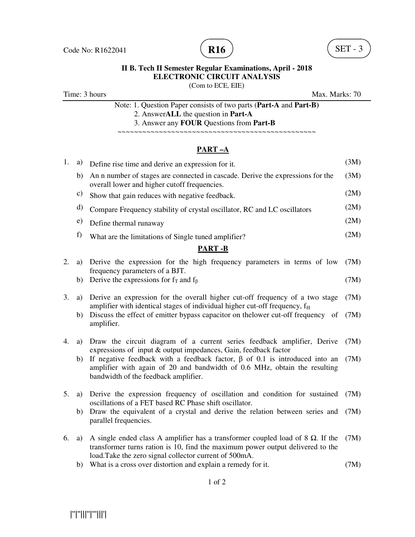

(Com to ECE, EIE)

Time: 3 hours Max. Marks: 70

Note: 1. Question Paper consists of two parts (**Part-A** and **Part-B)** 2. Answer**ALL** the question in **Part-A**

3. Answer any **FOUR** Questions from **Part-B**

~~~~~~~~~~~~~~~~~~~~~~~~~~~~~~~~~~~~~~~~~~~~~~~~

#### **PART –A**

| 1. | a)           | Define rise time and derive an expression for it.                                                                                                                                                                                  | (3M) |
|----|--------------|------------------------------------------------------------------------------------------------------------------------------------------------------------------------------------------------------------------------------------|------|
|    | b)           | An n number of stages are connected in cascade. Derive the expressions for the<br>overall lower and higher cutoff frequencies.                                                                                                     | (3M) |
|    | c)           | Show that gain reduces with negative feedback.                                                                                                                                                                                     | (2M) |
|    | d)           | Compare Frequency stability of crystal oscillator, RC and LC oscillators                                                                                                                                                           | (2M) |
|    | $\epsilon$ ) | Define thermal runaway                                                                                                                                                                                                             | (2M) |
|    | f)           | What are the limitations of Single tuned amplifier?                                                                                                                                                                                | (2M) |
|    |              | <b>PART-B</b>                                                                                                                                                                                                                      |      |
| 2. | a)           | Derive the expression for the high frequency parameters in terms of low<br>frequency parameters of a BJT.                                                                                                                          | (7M) |
|    | b)           | Derive the expressions for $f_T$ and $f_\beta$                                                                                                                                                                                     | (7M) |
| 3. | a)           | Derive an expression for the overall higher cut-off frequency of a two stage<br>amplifier with identical stages of individual higher cut-off frequency, $f_H$                                                                      | (7M) |
|    | b)           | Discuss the effect of emitter bypass capacitor on the lower cut-off frequency<br>of<br>amplifier.                                                                                                                                  | (7M) |
| 4. | a)           | Draw the circuit diagram of a current series feedback amplifier, Derive<br>expressions of input & output impedances, Gain, feedback factor                                                                                         | (7M) |
|    | b)           | If negative feedback with a feedback factor, $\beta$ of 0.1 is introduced into an<br>amplifier with again of 20 and bandwidth of 0.6 MHz, obtain the resulting<br>bandwidth of the feedback amplifier.                             | (7M) |
| 5. | a)           | Derive the expression frequency of oscillation and condition for sustained<br>oscillations of a FET based RC Phase shift oscillator.                                                                                               | (7M) |
|    | b)           | Draw the equivalent of a crystal and derive the relation between series and<br>parallel frequencies.                                                                                                                               | (7M) |
| 6. | a)           | A single ended class A amplifier has a transformer coupled load of $8 \Omega$ . If the<br>transformer turns ration is 10, find the maximum power output delivered to the<br>load. Take the zero signal collector current of 500mA. | (7M) |
|    |              | b) What is a cross over distortion and explain a remedy for it.                                                                                                                                                                    | (7M) |
|    |              |                                                                                                                                                                                                                                    |      |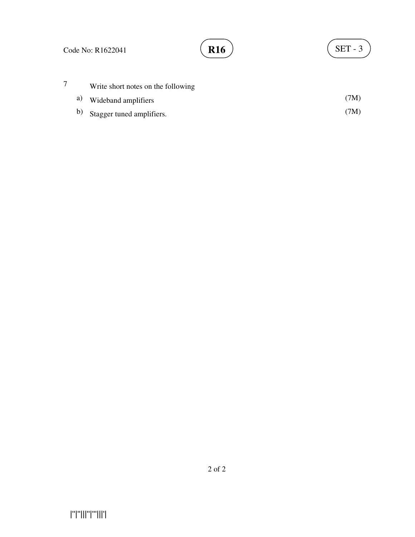# **R16**  $\left( \text{SET - 3} \right)$

|  | Write short notes on the following |      |
|--|------------------------------------|------|
|  | a) Wideband amplifiers             | (7M) |
|  | b) Stagger tuned amplifiers.       | (7M) |